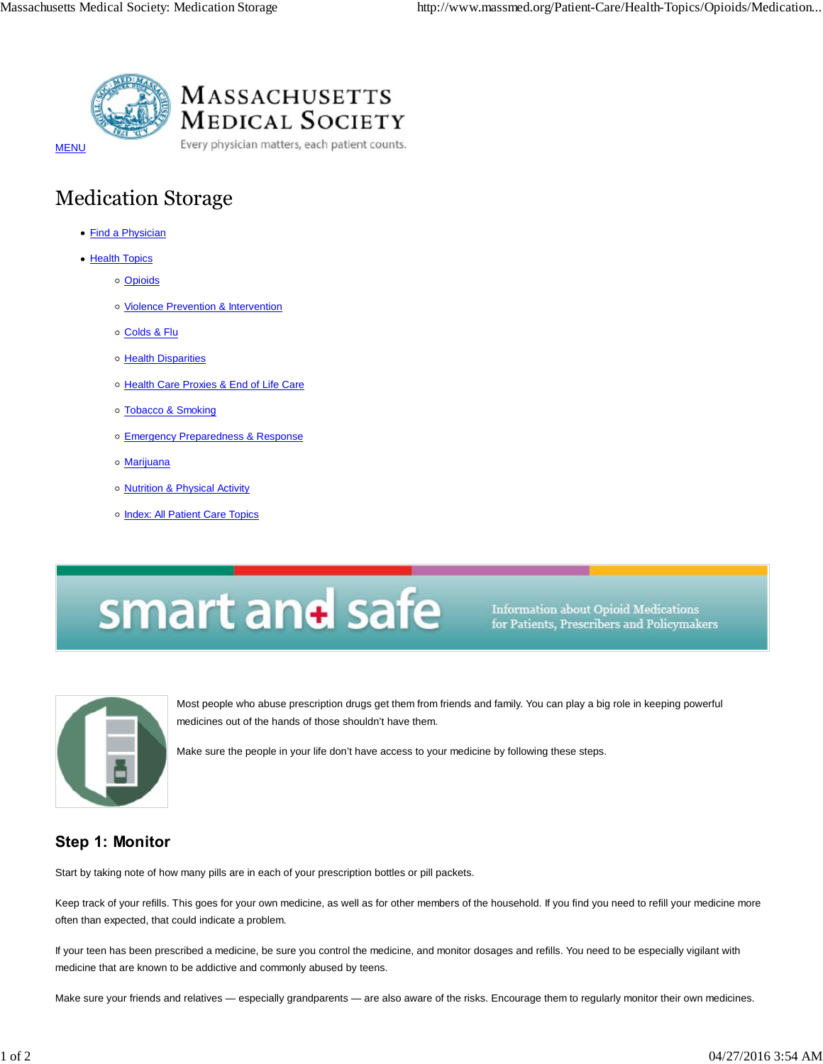

**MASSACHUSETTS MEDICAL SOCIETY** 

Every physician matters, each patient counts.

**MENU** 

## Medication Storage

- Find a Physician
- Health Topics
	- o Opioids
	- o Violence Prevention & Intervention
	- o Colds & Flu
	- o Health Disparities
	- o Health Care Proxies & End of Life Care
	- o Tobacco & Smoking
	- Emergency Preparedness & Response
	- Marijuana
	- o **Nutrition & Physical Activity**
	- o Index: All Patient Care Topics

# smart and safe

**Information about Opioid Medications** for Patients, Prescribers and Policymakers



Most people who abuse prescription drugs get them from friends and family. You can play a big role in keeping powerful medicines out of the hands of those shouldn't have them.

Make sure the people in your life don't have access to your medicine by following these steps.

### **Step 1: Monitor**

Start by taking note of how many pills are in each of your prescription bottles or pill packets.

Keep track of your refills. This goes for your own medicine, as well as for other members of the household. If you find you need to refill your medicine more often than expected, that could indicate a problem.

If your teen has been prescribed a medicine, be sure you control the medicine, and monitor dosages and refills. You need to be especially vigilant with medicine that are known to be addictive and commonly abused by teens.

Make sure your friends and relatives — especially grandparents — are also aware of the risks. Encourage them to regularly monitor their own medicines.